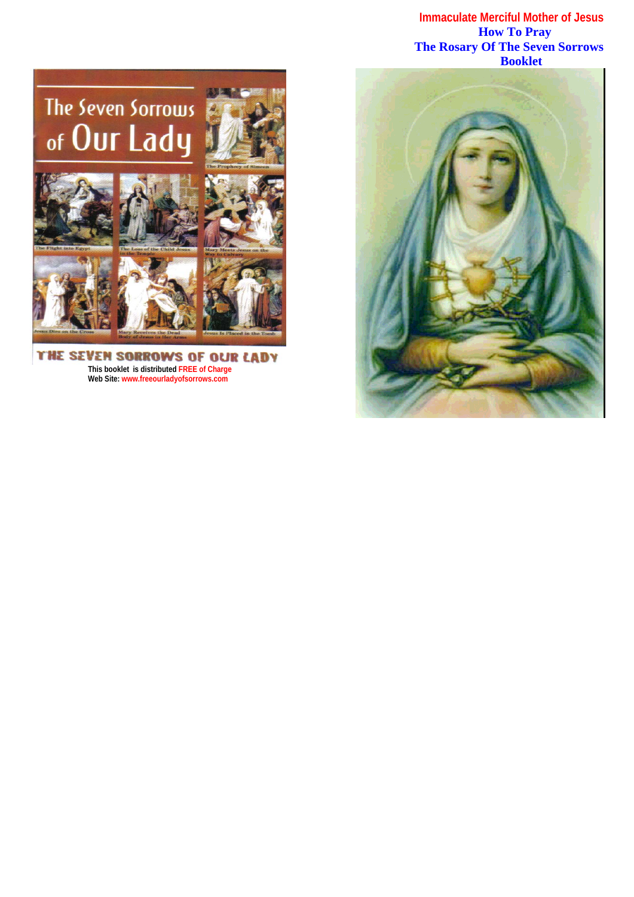**Immaculate Merciful Mother of Jesus How To Pray The Rosary Of The Seven Sorrows**



THE SEVEN SORROWS OF OUR LADY **This booklet is distributed FREE of Charge Web Site: www.freeourladyofsorrows.com**

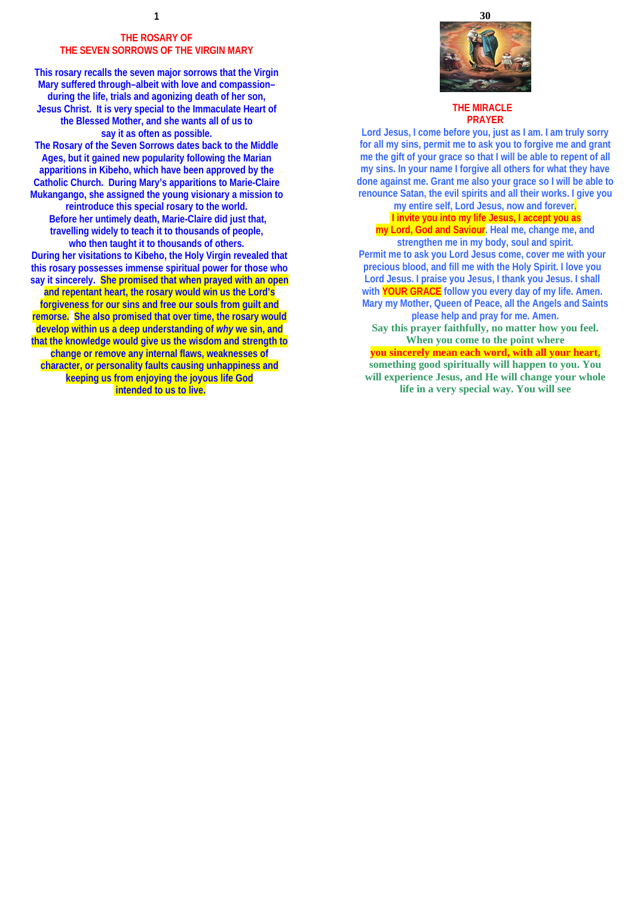## **THE ROSARY OF THE SEVEN SORROWS OF THE VIRGIN MARY**

**This rosary recalls the seven major sorrows that the Virgin Mary suffered through–albeit with love and compassion– during the life, trials and agonizing death of her son, Jesus Christ. It is very special to the Immaculate Heart of the Blessed Mother, and she wants all of us to say it as often as possible.** 

**The Rosary of the Seven Sorrows dates back to the Middle Ages, but it gained new popularity following the Marian apparitions in Kibeho, which have been approved by the Catholic Church. During Mary's apparitions to Marie-Claire Mukangango, she assigned the young visionary a mission to reintroduce this special rosary to the world. Before her untimely death, Marie-Claire did just that, travelling widely to teach it to thousands of people, who then taught it to thousands of others. During her visitations to Kibeho, the Holy Virgin revealed that this rosary possesses immense spiritual power for those who say it sincerely. She promised that when prayed with an open and repentant heart, the rosary would win us the Lord's forgiveness for our sins and free our souls from guilt and remorse. She also promised that over time, the rosary would develop within us a deep understanding of** *why* **we sin, and that the knowledge would give us the wisdom and strength to change or remove any internal flaws, weaknesses of character, or personality faults causing unhappiness and keeping us from enjoying the joyous life God intended to us to live.**



### **THE MIRACLE PRAYER**

**Lord Jesus, I come before you, just as I am. I am truly sorry for all my sins, permit me to ask you to forgive me and grant me the gift of your grace so that I will be able to repent of all my sins. In your name I forgive all others for what they have done against me. Grant me also your grace so I will be able to renounce Satan, the evil spirits and all their works. I give you**

**my entire self, Lord Jesus, now and forever. I invite you into my life Jesus, I accept you as** 

**my Lord, God and Saviour. Heal me, change me, and strengthen me in my body, soul and spirit. Permit me to ask you Lord Jesus come, cover me with your precious blood, and fill me with the Holy Spirit. I love you Lord Jesus. I praise you Jesus, I thank you Jesus. I shall with YOUR GRACE follow you every day of my life. Amen. Mary my Mother, Queen of Peace, all the Angels and Saints please help and pray for me. Amen. Say this prayer faithfully, no matter how you feel. When you come to the point where**

**you sincerely mean each word, with all your heart, something good spiritually will happen to you. You will experience Jesus, and He will change your whole life in a very special way. You will see**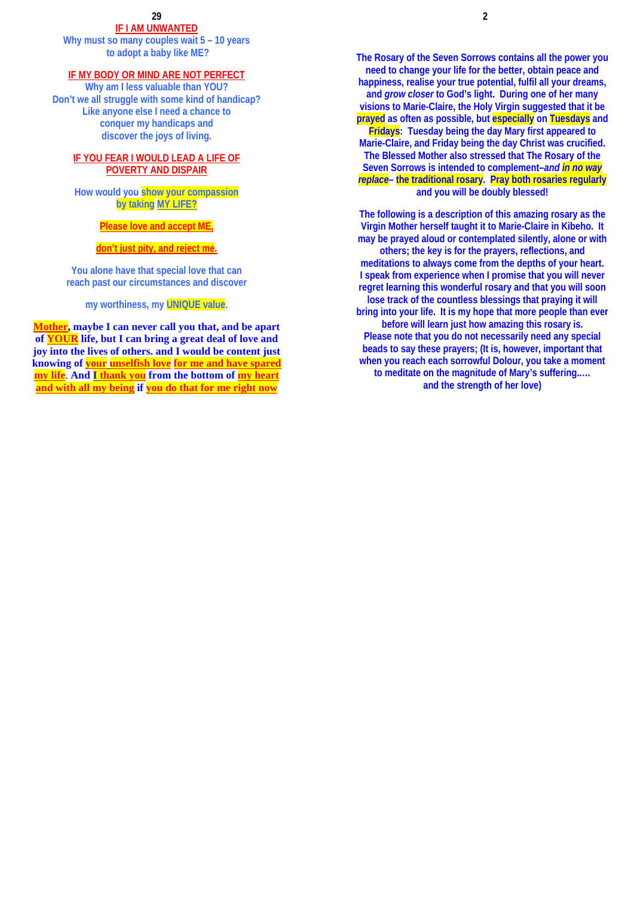**IF I AM UNWANTED**

**Why must so many couples wait 5 – 10 years to adopt a baby like ME?** 

### **IF MY BODY OR MIND ARE NOT PERFECT**

**Why am I less valuable than YOU? Don't we all struggle with some kind of handicap? Like anyone else I need a chance to conquer my handicaps and discover the joys of living.** 

# **IF YOU FEAR I WOULD LEAD A LIFE OF POVERTY AND DISPAIR**

**How would you show your compassion by taking MY LIFE?**

# **Please love and accept ME,**

### **don't just pity, and reject me.**

**You alone have that special love that can reach past our circumstances and discover** 

# **my worthiness, my UNIQUE value**.

**Mother, maybe I can never call you that, and be apart of YOUR life, but I can bring a great deal of love and joy into the lives of others. and I would be content just knowing of your unselfish love for me and have spared my life**. **And I thank you from the bottom of my heart and with all my being if you do that for me right now**

**The Rosary of the Seven Sorrows contains all the power you need to change your life for the better, obtain peace and happiness, realise your true potential, fulfil all your dreams, and** *grow closer* **to God's light. During one of her many visions to Marie-Claire, the Holy Virgin suggested that it be prayed as often as possible, but especially on Tuesdays and Fridays: Tuesday being the day Mary first appeared to Marie-Claire, and Friday being the day Christ was crucified. The Blessed Mother also stressed that The Rosary of the Seven Sorrows is intended to complement–***and in no way replace***– the traditional rosary. Pray both rosaries regularly and you will be doubly blessed!** 

**The following is a description of this amazing rosary as the Virgin Mother herself taught it to Marie-Claire in Kibeho. It may be prayed aloud or contemplated silently, alone or with others; the key is for the prayers, reflections, and meditations to always come from the depths of your heart. I speak from experience when I promise that you will never regret learning this wonderful rosary and that you will soon lose track of the countless blessings that praying it will bring into your life. It is my hope that more people than ever before will learn just how amazing this rosary is. Please note that you do not necessarily need any special beads to say these prayers; (It is, however, important that when you reach each sorrowful Dolour, you take a moment to meditate on the magnitude of Mary's suffering..… and the strength of her love)**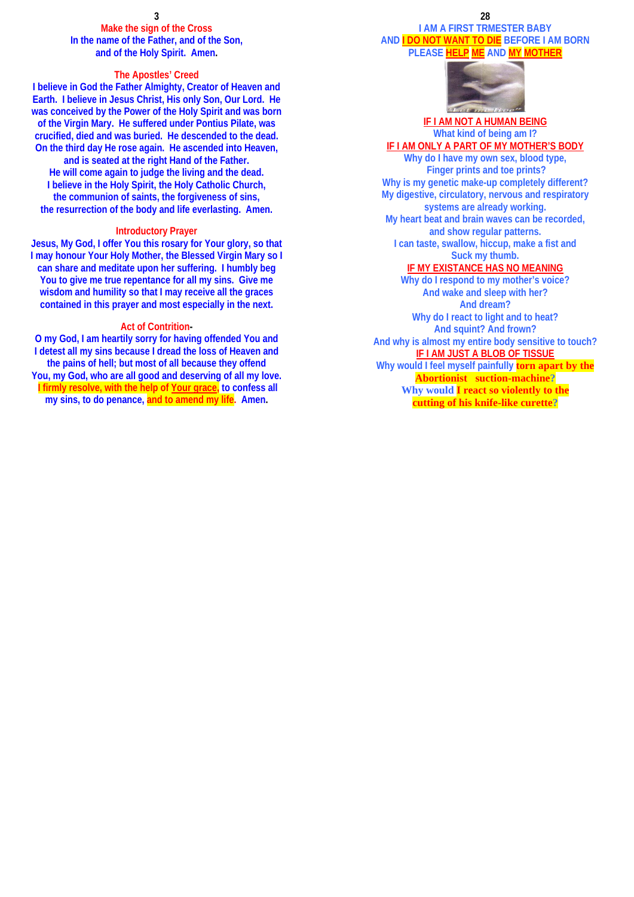**Make the sign of the Cross In the name of the Father, and of the Son, and of the Holy Spirit. Amen.** 

### **The Apostles' Creed**

**I believe in God the Father Almighty, Creator of Heaven and Earth. I believe in Jesus Christ, His only Son, Our Lord. He was conceived by the Power of the Holy Spirit and was born of the Virgin Mary. He suffered under Pontius Pilate, was crucified, died and was buried. He descended to the dead. On the third day He rose again. He ascended into Heaven, and is seated at the right Hand of the Father. He will come again to judge the living and the dead.** 

**I believe in the Holy Spirit, the Holy Catholic Church, the communion of saints, the forgiveness of sins, the resurrection of the body and life everlasting. Amen.**

### **Introductory Prayer**

**Jesus, My God, I offer You this rosary for Your glory, so that I may honour Your Holy Mother, the Blessed Virgin Mary so I can share and meditate upon her suffering. I humbly beg You to give me true repentance for all my sins. Give me wisdom and humility so that I may receive all the graces contained in this prayer and most especially in the next.** 

### **Act of Contrition-**

**O my God, I am heartily sorry for having offended You and I detest all my sins because I dread the loss of Heaven and the pains of hell; but most of all because they offend You, my God, who are all good and deserving of all my love. I firmly resolve, with the help of Your grace, to confess all my sins, to do penance, and to amend my life. Amen.** 

### **28 I AM A FIRST TRMESTER BABY AND I DO NOT WANT TO DIE BEFORE I AM BORN PLEASE HELP ME AND MY MOTHER**



# **IF I AM NOT A HUMAN BEING What kind of being am I? IF I AM ONLY A PART OF MY MOTHER'S BODY**

**Why do I have my own sex, blood type, Finger prints and toe prints? Why is my genetic make-up completely different? My digestive, circulatory, nervous and respiratory systems are already working. My heart beat and brain waves can be recorded, and show regular patterns. I can taste, swallow, hiccup, make a fist and Suck my thumb.** 

## **IF MY EXISTANCE HAS NO MEANING**

**Why do I respond to my mother's voice? And wake and sleep with her? And dream? Why do I react to light and to heat? And squint? And frown? And why is almost my entire body sensitive to touch? IF I AM JUST A BLOB OF TISSUE Why would I feel myself painfully torn apart by the Abortionist suction-machine? Why would I react so violently to the cutting of his knife-like curette?**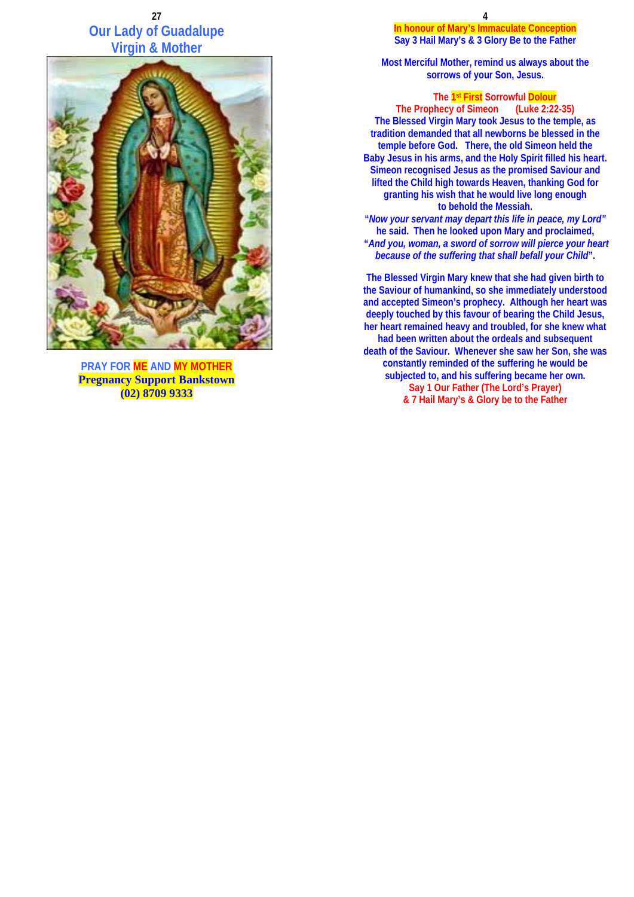# **27 Our Lady of Guadalupe Virgin & Mother**



**PRAY FOR ME AND MY MOTHER Pregnancy Support Bankstown (02) 8709 9333**

**In honour of Mary's Immaculate Conception Say 3 Hail Mary's & 3 Glory Be to the Father** 

**Most Merciful Mother, remind us always about the sorrows of your Son, Jesus.** 

## **The 1st First Sorrowful Dolour**

**The Prophecy of Simeon (Luke 2:22-35) The Blessed Virgin Mary took Jesus to the temple, as tradition demanded that all newborns be blessed in the temple before God. There, the old Simeon held the Baby Jesus in his arms, and the Holy Spirit filled his heart. Simeon recognised Jesus as the promised Saviour and lifted the Child high towards Heaven, thanking God for granting his wish that he would live long enough to behold the Messiah.** 

**"***Now your servant may depart this life in peace, my Lord"* **he said. Then he looked upon Mary and proclaimed, "***And you, woman, a sword of sorrow will pierce your heart because of the suffering that shall befall your Child***".** 

**The Blessed Virgin Mary knew that she had given birth to the Saviour of humankind, so she immediately understood and accepted Simeon's prophecy. Although her heart was deeply touched by this favour of bearing the Child Jesus, her heart remained heavy and troubled, for she knew what had been written about the ordeals and subsequent death of the Saviour. Whenever she saw her Son, she was constantly reminded of the suffering he would be subjected to, and his suffering became her own. Say 1 Our Father (The Lord's Prayer) & 7 Hail Mary's & Glory be to the Father**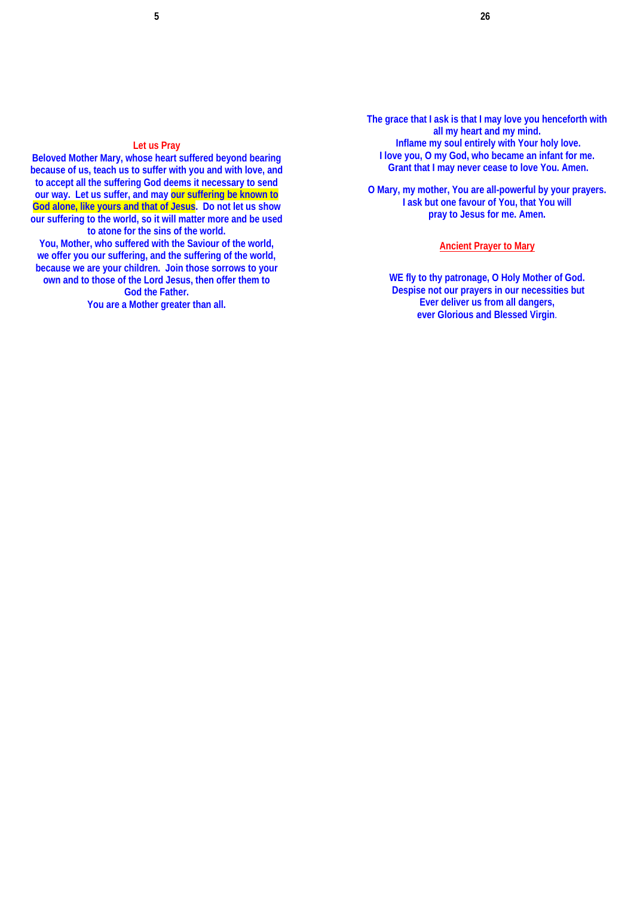# **Let us Pray**

**Beloved Mother Mary, whose heart suffered beyond bearing because of us, teach us to suffer with you and with love, and to accept all the suffering God deems it necessary to send our way. Let us suffer, and may our suffering be known to God alone, like yours and that of Jesus. Do not let us show our suffering to the world, so it will matter more and be used to atone for the sins of the world.** 

**You, Mother, who suffered with the Saviour of the world, we offer you our suffering, and the suffering of the world, because we are your children. Join those sorrows to your own and to those of the Lord Jesus, then offer them to God the Father.** 

**You are a Mother greater than all.**

**The grace that I ask is that I may love you henceforth with all my heart and my mind. Inflame my soul entirely with Your holy love. I love you, O my God, who became an infant for me. Grant that I may never cease to love You. Amen.** 

**O Mary, my mother, You are all-powerful by your prayers. I ask but one favour of You, that You will pray to Jesus for me. Amen.** 

### **Ancient Prayer to Mary**

**WE fly to thy patronage, O Holy Mother of God. Despise not our prayers in our necessities but Ever deliver us from all dangers, ever Glorious and Blessed Virgin**.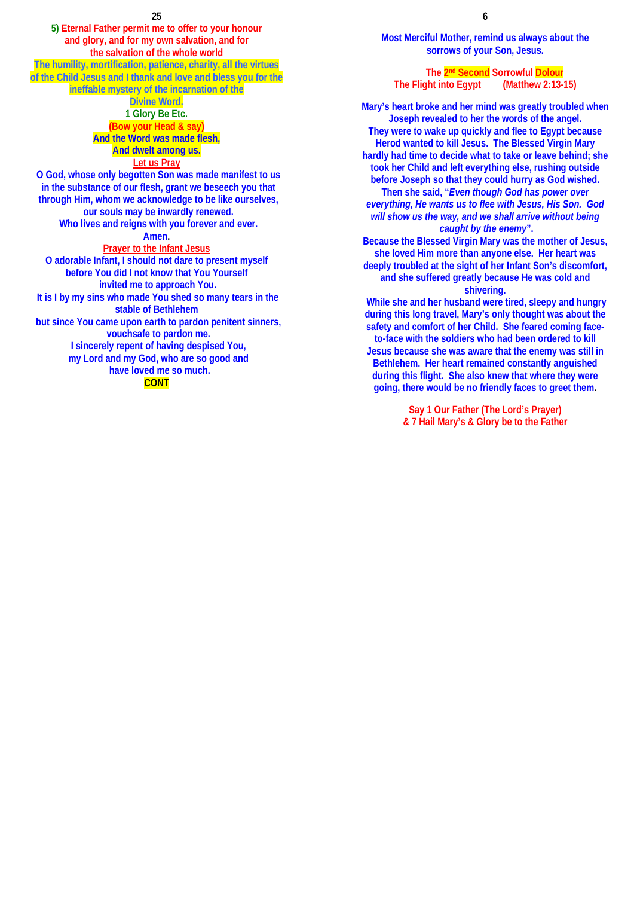**5) Eternal Father permit me to offer to your honour and glory, and for my own salvation, and for the salvation of the whole world The humility, mortification, patience, charity, all the virtues of the Child Jesus and I thank and love and bless you for the** 

**ineffable mystery of the incarnation of the** 

# **Divine Word.**

**1 Glory Be Etc. (Bow your Head & say) And the Word was made flesh, And dwelt among us. Let us Pray**

**O God, whose only begotten Son was made manifest to us in the substance of our flesh, grant we beseech you that through Him, whom we acknowledge to be like ourselves, our souls may be inwardly renewed. Who lives and reigns with you forever and ever. Amen. Prayer to the Infant Jesus O adorable Infant, I should not dare to present myself before You did I not know that You Yourself invited me to approach You. It is I by my sins who made You shed so many tears in the** 

**stable of Bethlehem but since You came upon earth to pardon penitent sinners, vouchsafe to pardon me. I sincerely repent of having despised You,** 

**my Lord and my God, who are so good and have loved me so much.** 

**CONT**

**Most Merciful Mother, remind us always about the sorrows of your Son, Jesus.**

**The 2nd Second Sorrowful Dolour The Flight into Egypt (Matthew 2:13-15)** 

**Mary's heart broke and her mind was greatly troubled when Joseph revealed to her the words of the angel. They were to wake up quickly and flee to Egypt because Herod wanted to kill Jesus. The Blessed Virgin Mary hardly had time to decide what to take or leave behind; she took her Child and left everything else, rushing outside before Joseph so that they could hurry as God wished. Then she said, "***Even though God has power over everything, He wants us to flee with Jesus, His Son. God will show us the way, and we shall arrive without being caught by the enemy***". Because the Blessed Virgin Mary was the mother of Jesus, she loved Him more than anyone else. Her heart was deeply troubled at the sight of her Infant Son's discomfort, and she suffered greatly because He was cold and** 

#### **shivering.**

 **While she and her husband were tired, sleepy and hungry during this long travel, Mary's only thought was about the safety and comfort of her Child. She feared coming faceto-face with the soldiers who had been ordered to kill Jesus because she was aware that the enemy was still in Bethlehem. Her heart remained constantly anguished during this flight. She also knew that where they were going, there would be no friendly faces to greet them.** 

> **Say 1 Our Father (The Lord's Prayer) & 7 Hail Mary's & Glory be to the Father**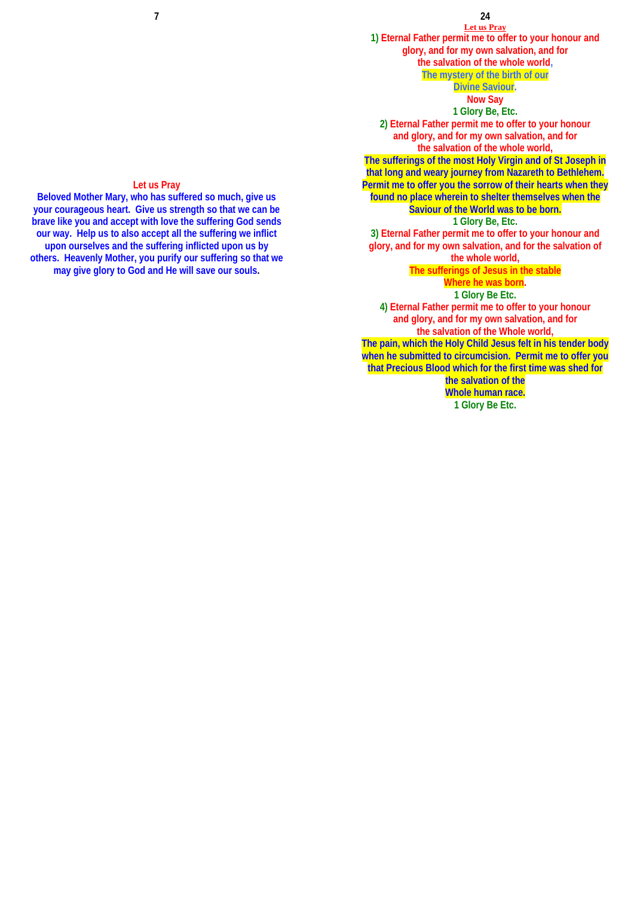# **24**

**Let us Pray 1) Eternal Father permit me to offer to your honour and glory, and for my own salvation, and for the salvation of the whole world, The mystery of the birth of our** 

**Divine Saviour.** 

# **Now Say**

**1 Glory Be, Etc.**

**2) Eternal Father permit me to offer to your honour and glory, and for my own salvation, and for the salvation of the whole world, The sufferings of the most Holy Virgin and of St Joseph in that long and weary journey from Nazareth to Bethlehem.** 

**Permit me to offer you the sorrow of their hearts when they found no place wherein to shelter themselves when the** 

# **Saviour of the World was to be born.**

**1 Glory Be, Etc. 3) Eternal Father permit me to offer to your honour and glory, and for my own salvation, and for the salvation of** 

### **the whole world,**

**The sufferings of Jesus in the stable** 

# **Where he was born.**

**1 Glory Be Etc. 4) Eternal Father permit me to offer to your honour and glory, and for my own salvation, and for the salvation of the Whole world, The pain, which the Holy Child Jesus felt in his tender body when he submitted to circumcision. Permit me to offer you that Precious Blood which for the first time was shed for** 

> **the salvation of the Whole human race. 1 Glory Be Etc.**

# **Let us Pray**

**Beloved Mother Mary, who has suffered so much, give us your courageous heart. Give us strength so that we can be brave like you and accept with love the suffering God sends our way. Help us to also accept all the suffering we inflict upon ourselves and the suffering inflicted upon us by others. Heavenly Mother, you purify our suffering so that we may give glory to God and He will save our souls.**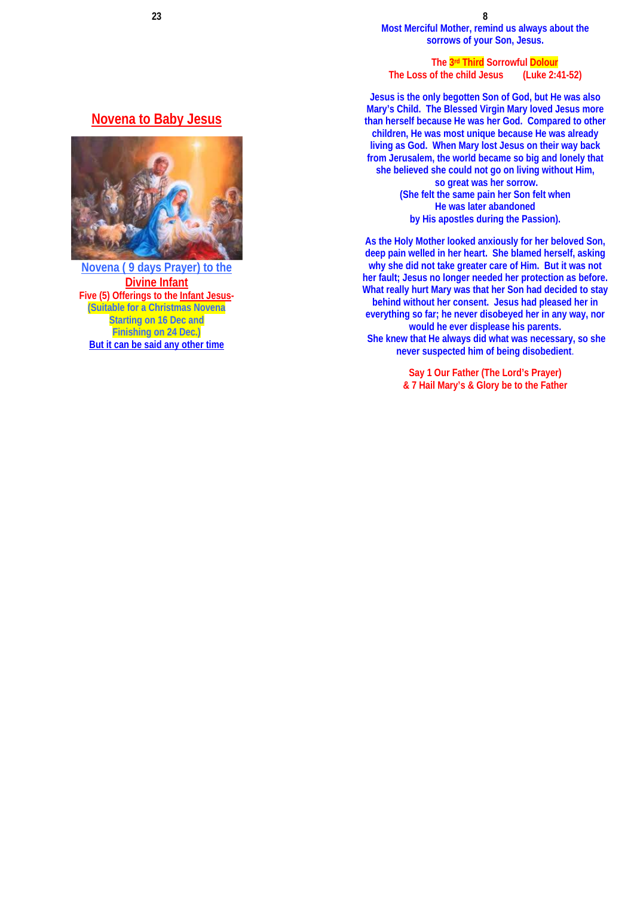**Most Merciful Mother, remind us always about the sorrows of your Son, Jesus.** 

**The 3rd Third Sorrowful Dolour** 

**The Loss of the child Jesus (Luke 2:41-52)** 

**Jesus is the only begotten Son of God, but He was also Mary's Child. The Blessed Virgin Mary loved Jesus more than herself because He was her God. Compared to other children, He was most unique because He was already living as God. When Mary lost Jesus on their way back from Jerusalem, the world became so big and lonely that she believed she could not go on living without Him, so great was her sorrow. (She felt the same pain her Son felt when He was later abandoned by His apostles during the Passion).** 

**As the Holy Mother looked anxiously for her beloved Son, deep pain welled in her heart. She blamed herself, asking why she did not take greater care of Him. But it was not her fault; Jesus no longer needed her protection as before. What really hurt Mary was that her Son had decided to stay behind without her consent. Jesus had pleased her in everything so far; he never disobeyed her in any way, nor would he ever displease his parents. She knew that He always did what was necessary, so she never suspected him of being disobedient**.

> **Say 1 Our Father (The Lord's Prayer) & 7 Hail Mary's & Glory be to the Father**

# **Novena to Baby Jesus**



**Novena ( 9 days Prayer) to the Divine Infant Five (5) Offerings to the Infant Jesus- (Suitable for a Christmas Novena Starting on 16 Dec and Finishing on 24 Dec.) But it can be said any other time**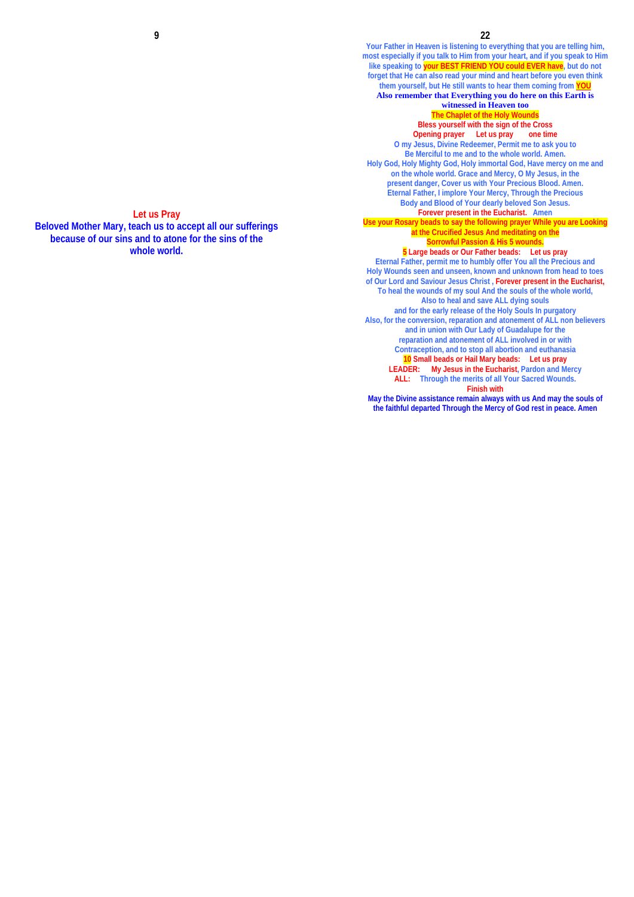**Your Father in Heaven is listening to everything that you are telling him, most especially if you talk to Him from your heart, and if you speak to Him like speaking to your BEST FRIEND YOU could EVER have, but do not forget that He can also read your mind and heart before you even think them yourself, but He still wants to hear them coming from YOU Also remember that Everything you do here on this Earth is witnessed in Heaven too The Chaplet of the Holy Wound Bless yourself with the sign of the Cross Opening prayer Let us pray one time O my Jesus, Divine Redeemer, Permit me to ask you to Be Merciful to me and to the whole world. Amen. Holy God, Holy Mighty God, Holy immortal God, Have mercy on me and on the whole world. Grace and Mercy, O My Jesus, in the present danger, Cover us with Your Precious Blood. Amen. Eternal Father, I implore Your Mercy, Through the Precious Body and Blood of Your dearly beloved Son Jesus. Forever present in the Eucharist. Amen Use your Rosary beads to say the following prayer While you are Looking at the Crucified Jesus And meditating on the Sorrowful Passion & His 5 wounds. 5 Large beads or Our Father beads: Let us pray Eternal Father, permit me to humbly offer You all the Precious and Holy Wounds seen and unseen, known and unknown from head to toes of Our Lord and Saviour Jesus Christ , Forever present in the Eucharist, To heal the wounds of my soul And the souls of the whole world, Also to heal and save ALL dying souls and for the early release of the Holy Souls In purgatory Also, for the conversion, reparation and atonement of ALL non believers and in union with Our Lady of Guadalupe for the reparation and atonement of ALL involved in or with Contraception, and to stop all abortion and euthanasia 10 Small beads or Hail Mary beads: Let us pray LEADER: My Jesus in the Eucharist, Pardon and Mercy ALL: Through the merits of all Your Sacred Wounds. Finish with** 

**May the Divine assistance remain always with us And may the souls of the faithful departed Through the Mercy of God rest in peace. Amen**

**Let us Pray Beloved Mother Mary, teach us to accept all our sufferings because of our sins and to atone for the sins of the whole world.**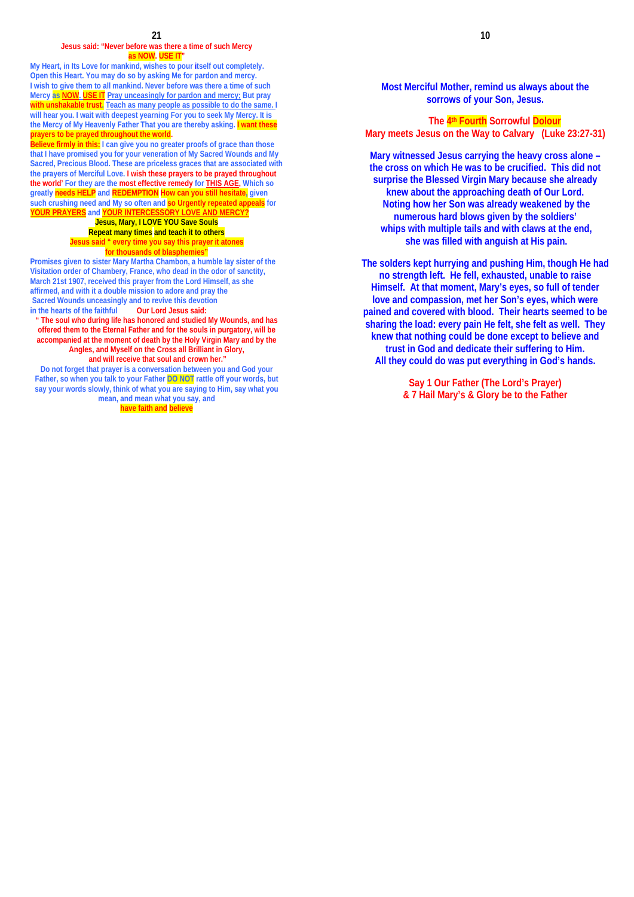#### **Jesus said: "Never before was there a time of such Mercy as NOW. USE IT"**

**My Heart, in Its Love for mankind, wishes to pour itself out completely. Open this Heart. You may do so by asking Me for pardon and mercy. I wish to give them to all mankind. Never before was there a time of such Mercy as NOW. USE IT Pray unceasingly for pardon and mercy; But pray with unshakable trust. Teach as many people as possible to do the same. I will hear you. I wait with deepest yearning For you to seek My Mercy. It is the Mercy of My Heavenly Father That you are thereby asking. I want these prayers to be prayed throughout the world.**

**Believe firmly in this: I can give you no greater proofs of grace than those that I have promised you for your veneration of My Sacred Wounds and My Sacred, Precious Blood. These are priceless graces that are associated with the prayers of Merciful Love. I wish these prayers to be prayed throughout the world' For they are the most effective remedy for THIS AGE, Which so greatly needs HELP and REDEMPTION How can you still hesitate, given such crushing need and My so often and so Urgently repeated appeals for YOUR PRAYERS** and **YOUR INTERC** 

**Jesus, Mary, I LOVE YOU Save Souls Repeat many times and teach it to others Jesus said " every time you say this prayer it atones for thousands of blasphemies** 

**Promises given to sister Mary Martha Chambon, a humble lay sister of the Visitation order of Chambery, France, who dead in the odor of sanctity, March 21st 1907, received this prayer from the Lord Himself, as she affirmed, and with it a double mission to adore and pray the Sacred Wounds unceasingly and to revive this devotion in the hearts of the faithful** 

**" The soul who during life has honored and studied My Wounds, and has offered them to the Eternal Father and for the souls in purgatory, will be accompanied at the moment of death by the Holy Virgin Mary and by the Angles, and Myself on the Cross all Brilliant in Glory, and will receive that soul and crown her."** 

**Do not forget that prayer is a conversation between you and God your Father, so when you talk to your Father DO NOT rattle off your words, but say your words slowly, think of what you are saying to Him, say what you mean, and mean what you say, and** 

**have faith and believe**

**Most Merciful Mother, remind us always about the sorrows of your Son, Jesus.** 

**The 4th Fourth Sorrowful Dolour Mary meets Jesus on the Way to Calvary (Luke 23:27-31)** 

**Mary witnessed Jesus carrying the heavy cross alone – the cross on which He was to be crucified. This did not surprise the Blessed Virgin Mary because she already knew about the approaching death of Our Lord. Noting how her Son was already weakened by the numerous hard blows given by the soldiers' whips with multiple tails and with claws at the end, she was filled with anguish at His pain.** 

**The solders kept hurrying and pushing Him, though He had no strength left. He fell, exhausted, unable to raise Himself. At that moment, Mary's eyes, so full of tender love and compassion, met her Son's eyes, which were pained and covered with blood. Their hearts seemed to be sharing the load: every pain He felt, she felt as well. They knew that nothing could be done except to believe and trust in God and dedicate their suffering to Him. All they could do was put everything in God's hands.** 

> **Say 1 Our Father (The Lord's Prayer) & 7 Hail Mary's & Glory be to the Father**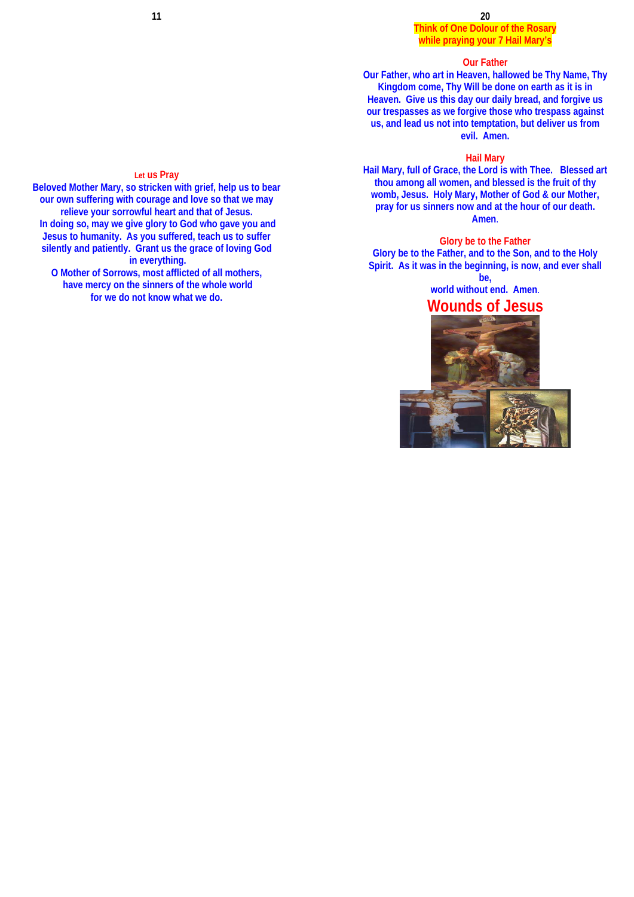## **Think of One Dolour of the Rosary while praying your 7 Hail Mary's**

## **Our Father**

**Our Father, who art in Heaven, hallowed be Thy Name, Thy Kingdom come, Thy Will be done on earth as it is in Heaven. Give us this day our daily bread, and forgive us our trespasses as we forgive those who trespass against us, and lead us not into temptation, but deliver us from evil. Amen.** 

### **Hail Mary**

**Hail Mary, full of Grace, the Lord is with Thee. Blessed art thou among all women, and blessed is the fruit of thy womb, Jesus. Holy Mary, Mother of God & our Mother, pray for us sinners now and at the hour of our death. Amen**.

**Glory be to the Father Glory be to the Father, and to the Son, and to the Holy Spirit. As it was in the beginning, is now, and ever shall be,** 

**world without end. Amen**. **Wounds of Jesus** 



### **Let us Pray**

**Beloved Mother Mary, so stricken with grief, help us to bear our own suffering with courage and love so that we may relieve your sorrowful heart and that of Jesus. In doing so, may we give glory to God who gave you and Jesus to humanity. As you suffered, teach us to suffer silently and patiently. Grant us the grace of loving God in everything.** 

**O Mother of Sorrows, most afflicted of all mothers, have mercy on the sinners of the whole world for we do not know what we do.**

**11**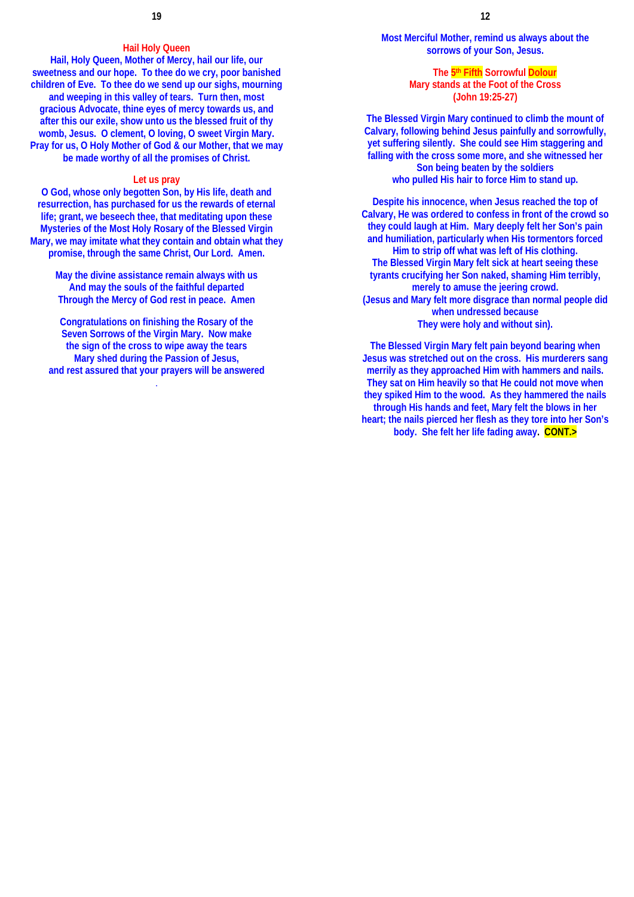### **Hail Holy Queen**

**Hail, Holy Queen, Mother of Mercy, hail our life, our sweetness and our hope. To thee do we cry, poor banished children of Eve. To thee do we send up our sighs, mourning and weeping in this valley of tears. Turn then, most gracious Advocate, thine eyes of mercy towards us, and after this our exile, show unto us the blessed fruit of thy womb, Jesus. O clement, O loving, O sweet Virgin Mary. Pray for us, O Holy Mother of God & our Mother, that we may be made worthy of all the promises of Christ.**

### **Let us pray**

**O God, whose only begotten Son, by His life, death and resurrection, has purchased for us the rewards of eternal life; grant, we beseech thee, that meditating upon these Mysteries of the Most Holy Rosary of the Blessed Virgin Mary, we may imitate what they contain and obtain what they promise, through the same Christ, Our Lord. Amen.** 

> **May the divine assistance remain always with us And may the souls of the faithful departed Through the Mercy of God rest in peace. Amen**

**Congratulations on finishing the Rosary of the Seven Sorrows of the Virgin Mary. Now make the sign of the cross to wipe away the tears Mary shed during the Passion of Jesus, and rest assured that your prayers will be answered**

.

**Most Merciful Mother, remind us always about the sorrows of your Son, Jesus.** 

### **The 5th Fifth Sorrowful Dolour Mary stands at the Foot of the Cross (John 19:25-27)**

**The Blessed Virgin Mary continued to climb the mount of Calvary, following behind Jesus painfully and sorrowfully, yet suffering silently. She could see Him staggering and falling with the cross some more, and she witnessed her Son being beaten by the soldiers who pulled His hair to force Him to stand up.** 

**Despite his innocence, when Jesus reached the top of Calvary, He was ordered to confess in front of the crowd so they could laugh at Him. Mary deeply felt her Son's pain and humiliation, particularly when His tormentors forced Him to strip off what was left of His clothing. The Blessed Virgin Mary felt sick at heart seeing these tyrants crucifying her Son naked, shaming Him terribly, merely to amuse the jeering crowd. (Jesus and Mary felt more disgrace than normal people did when undressed because They were holy and without sin).** 

**The Blessed Virgin Mary felt pain beyond bearing when Jesus was stretched out on the cross. His murderers sang merrily as they approached Him with hammers and nails. They sat on Him heavily so that He could not move when they spiked Him to the wood. As they hammered the nails through His hands and feet, Mary felt the blows in her heart; the nails pierced her flesh as they tore into her Son's body. She felt her life fading away. CONT.>**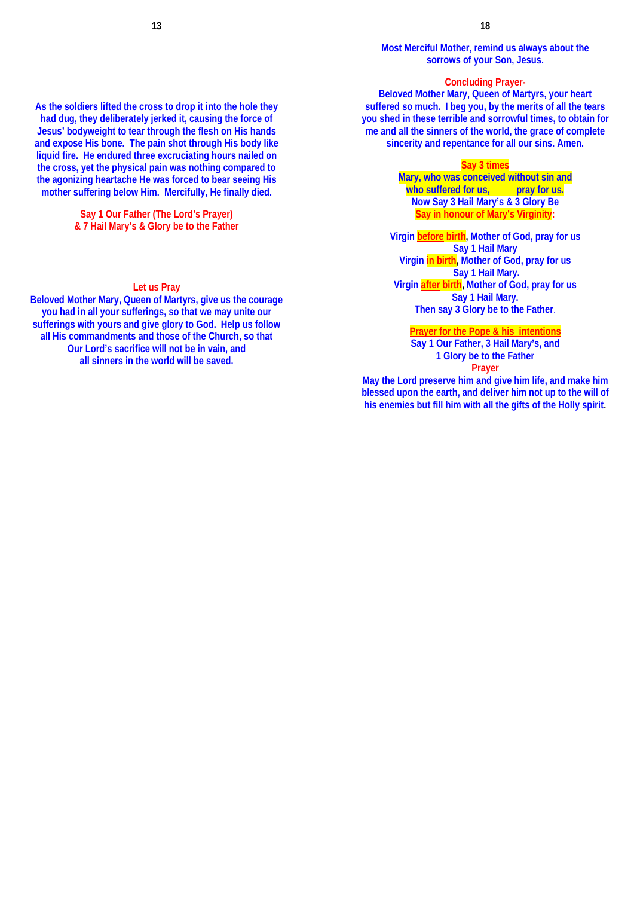**Most Merciful Mother, remind us always about the sorrows of your Son, Jesus.** 

## **Concluding Prayer-**

**Beloved Mother Mary, Queen of Martyrs, your heart suffered so much. I beg you, by the merits of all the tears you shed in these terrible and sorrowful times, to obtain for me and all the sinners of the world, the grace of complete sincerity and repentance for all our sins. Amen.** 

### **Say 3 times**

**Mary, who was conceived without sin and**  who suffered for us, **pray for us. Now Say 3 Hail Mary's & 3 Glory Be Say in honour of Mary's Virginity:** 

**Virgin before birth, Mother of God, pray for us Say 1 Hail Mary Virgin in birth, Mother of God, pray for us Say 1 Hail Mary. Virgin after birth, Mother of God, pray for us Say 1 Hail Mary. Then say 3 Glory be to the Father**.

### **Prayer for the Pope & his intentions**

**Say 1 Our Father, 3 Hail Mary's, and 1 Glory be to the Father Prayer** 

**May the Lord preserve him and give him life, and make him blessed upon the earth, and deliver him not up to the will of his enemies but fill him with all the gifts of the Holly spirit.**

**As the soldiers lifted the cross to drop it into the hole they had dug, they deliberately jerked it, causing the force of Jesus' bodyweight to tear through the flesh on His hands and expose His bone. The pain shot through His body like liquid fire. He endured three excruciating hours nailed on the cross, yet the physical pain was nothing compared to the agonizing heartache He was forced to bear seeing His mother suffering below Him. Mercifully, He finally died.** 

> **Say 1 Our Father (The Lord's Prayer) & 7 Hail Mary's & Glory be to the Father**

# **Let us Pray**

**Beloved Mother Mary, Queen of Martyrs, give us the courage you had in all your sufferings, so that we may unite our sufferings with yours and give glory to God. Help us follow all His commandments and those of the Church, so that Our Lord's sacrifice will not be in vain, and all sinners in the world will be saved.**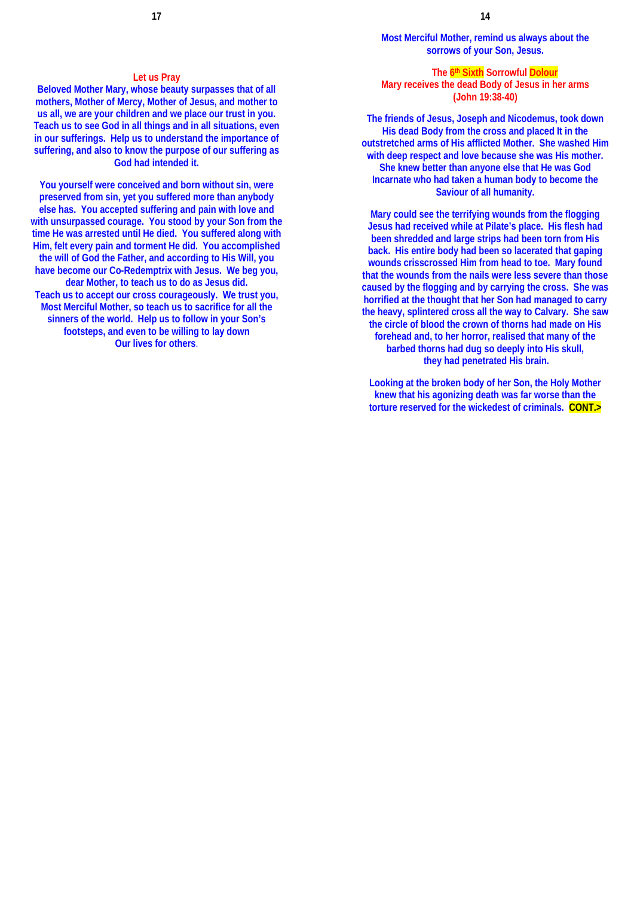### **Let us Pray**

**Beloved Mother Mary, whose beauty surpasses that of all mothers, Mother of Mercy, Mother of Jesus, and mother to us all, we are your children and we place our trust in you. Teach us to see God in all things and in all situations, even in our sufferings. Help us to understand the importance of suffering, and also to know the purpose of our suffering as God had intended it.** 

**You yourself were conceived and born without sin, were preserved from sin, yet you suffered more than anybody else has. You accepted suffering and pain with love and with unsurpassed courage. You stood by your Son from the time He was arrested until He died. You suffered along with Him, felt every pain and torment He did. You accomplished the will of God the Father, and according to His Will, you have become our Co-Redemptrix with Jesus. We beg you, dear Mother, to teach us to do as Jesus did. Teach us to accept our cross courageously. We trust you, Most Merciful Mother, so teach us to sacrifice for all the sinners of the world. Help us to follow in your Son's footsteps, and even to be willing to lay down Our lives for others**.

**Most Merciful Mother, remind us always about the sorrows of your Son, Jesus.** 

### **The 6th Sixth Sorrowful Dolour**

**Mary receives the dead Body of Jesus in her arms (John 19:38-40)** 

**The friends of Jesus, Joseph and Nicodemus, took down His dead Body from the cross and placed It in the outstretched arms of His afflicted Mother. She washed Him with deep respect and love because she was His mother. She knew better than anyone else that He was God Incarnate who had taken a human body to become the Saviour of all humanity.** 

**Mary could see the terrifying wounds from the flogging Jesus had received while at Pilate's place. His flesh had been shredded and large strips had been torn from His back. His entire body had been so lacerated that gaping wounds crisscrossed Him from head to toe. Mary found that the wounds from the nails were less severe than those caused by the flogging and by carrying the cross. She was horrified at the thought that her Son had managed to carry the heavy, splintered cross all the way to Calvary. She saw the circle of blood the crown of thorns had made on His forehead and, to her horror, realised that many of the barbed thorns had dug so deeply into His skull, they had penetrated His brain.** 

**Looking at the broken body of her Son, the Holy Mother knew that his agonizing death was far worse than the torture reserved for the wickedest of criminals. CONT.>**